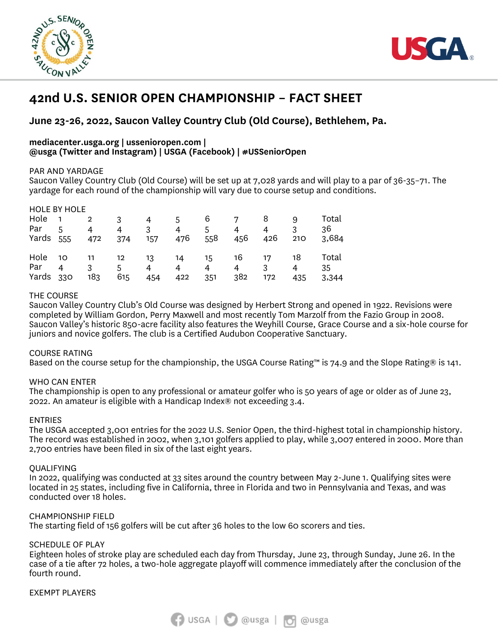



# **42nd U.S. SENIOR OPEN CHAMPIONSHIP – FACT SHEET**

# **June 23-26, 2022, Saucon Valley Country Club (Old Course), Bethlehem, Pa.**

#### **mediacenter.usga.org | ussenioropen.com | @usga (Twitter and Instagram) | USGA (Facebook) | #USSeniorOpen**

#### PAR AND YARDAGE

Saucon Valley Country Club (Old Course) will be set up at 7,028 yards and will play to a par of 36-35–71. The yardage for each round of the championship will vary due to course setup and conditions.

| <b>HOLE BY HOLE</b> |                |              |     |     |     |     |                |     |     |       |
|---------------------|----------------|--------------|-----|-----|-----|-----|----------------|-----|-----|-------|
| Hole <sub>1</sub>   |                | $\mathbf{2}$ | 3   | 4   | 5.  | 6   |                | 8   | 9   | Total |
| Par                 | $\overline{5}$ | 4            | 4   | 3   | 4   | 5.  | 4              | 4   | 3   | 36    |
| Yards 555           |                | 472          | 374 | 157 | 476 | 558 | 456            | 426 | 210 | 3,684 |
|                     |                |              |     |     |     |     |                |     |     |       |
| Hole                | 10             | 11           | 12  | 13  | 14  | -15 | 16             | 17  | 18  | Total |
| Par                 | 4              | 3            | 5   | 4   | 4   | 4   | $\overline{4}$ | 3   | 4   | 35    |
| Yards 330           |                | 183          | 615 | 454 | 422 | 351 | 382            | 172 | 435 | 3,344 |

# THE COURSE

Saucon Valley Country Club's Old Course was designed by Herbert Strong and opened in 1922. Revisions were completed by William Gordon, Perry Maxwell and most recently Tom Marzolf from the Fazio Group in 2008. Saucon Valley's historic 850-acre facility also features the Weyhill Course, Grace Course and a six-hole course for juniors and novice golfers. The club is a Certified Audubon Cooperative Sanctuary.

#### COURSE RATING

Based on the course setup for the championship, the USGA Course Rating™ is 74.9 and the Slope Rating® is 141.

# WHO CAN ENTER

The championship is open to any professional or amateur golfer who is 50 years of age or older as of June 23, 2022. An amateur is eligible with a Handicap Index® not exceeding 3.4.

### ENTRIES

The USGA accepted 3,001 entries for the 2022 U.S. Senior Open, the third-highest total in championship history. The record was established in 2002, when 3,101 golfers applied to play, while 3,007 entered in 2000. More than 2,700 entries have been filed in six of the last eight years.

#### QUALIFYING

In 2022, qualifying was conducted at 33 sites around the country between May 2-June 1. Qualifying sites were located in 25 states, including five in California, three in Florida and two in Pennsylvania and Texas, and was conducted over 18 holes.

#### CHAMPIONSHIP FIELD

The starting field of 156 golfers will be cut after 36 holes to the low 60 scorers and ties.

#### SCHEDULE OF PLAY

Eighteen holes of stroke play are scheduled each day from Thursday, June 23, through Sunday, June 26. In the case of a tie after 72 holes, a two-hole aggregate playoff will commence immediately after the conclusion of the fourth round.

EXEMPT PLAYERS

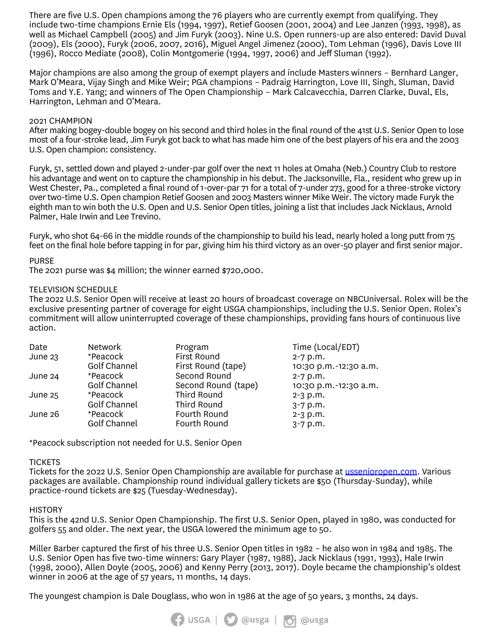There are five U.S. Open champions among the 76 players who are currently exempt from qualifying. They include two-time champions Ernie Els (1994, 1997), Retief Goosen (2001, 2004) and Lee Janzen (1993, 1998), as well as Michael Campbell (2005) and Jim Furyk (2003). Nine U.S. Open runners-up are also entered: David Duval (2009), Els (2000), Furyk (2006, 2007, 2016), Miguel Angel Jimenez (2000), Tom Lehman (1996), Davis Love III (1996), Rocco Mediate (2008), Colin Montgomerie (1994, 1997, 2006) and Jeff Sluman (1992).

Major champions are also among the group of exempt players and include Masters winners – Bernhard Langer, Mark O'Meara, Vijay Singh and Mike Weir; PGA champions – Padraig Harrington, Love III, Singh, Sluman, David Toms and Y.E. Yang; and winners of The Open Championship – Mark Calcavecchia, Darren Clarke, Duval, Els, Harrington, Lehman and O'Meara.

#### 2021 CHAMPION

After making bogey-double bogey on his second and third holes in the final round of the 41st U.S. Senior Open to lose most of a four-stroke lead, Jim Furyk got back to what has made him one of the best players of his era and the 2003 U.S. Open champion: consistency.

Furyk, 51, settled down and played 2-under-par golf over the next 11 holes at Omaha (Neb.) Country Club to restore his advantage and went on to capture the championship in his debut. The Jacksonville, Fla., resident who grew up in West Chester, Pa., completed a final round of 1-over-par 71 for a total of 7-under 273, good for a three-stroke victory over two-time U.S. Open champion Retief Goosen and 2003 Masters winner Mike Weir. The victory made Furyk the eighth man to win both the U.S. Open and U.S. Senior Open titles, joining a list that includes Jack Nicklaus, Arnold Palmer, Hale Irwin and Lee Trevino.

Furyk, who shot 64-66 in the middle rounds of the championship to build his lead, nearly holed a long putt from 75 feet on the final hole before tapping in for par, giving him his third victory as an over-50 player and first senior major.

#### PURSE

The 2021 purse was \$4 million; the winner earned \$720,000.

#### TELEVISION SCHEDULE

The 2022 U.S. Senior Open will receive at least 20 hours of broadcast coverage on NBCUniversal. Rolex will be the exclusive presenting partner of coverage for eight USGA championships, including the U.S. Senior Open. Rolex's commitment will allow uninterrupted coverage of these championships, providing fans hours of continuous live action.

| Time (Local/EDT)      |
|-----------------------|
| $2 - 7$ p.m.          |
| 10:30 p.m.-12:30 a.m. |
| $2 - 7$ p.m.          |
| 10:30 p.m.-12:30 a.m. |
| $2 - 3$ p.m.          |
| $3 - 7$ p.m.          |
| $2 - 3$ p.m.          |
| $3 - 7$ p.m.          |
|                       |

\*Peacock subscription not needed for U.S. Senior Open

#### **TICKETS**

Tickets for the 2022 U.S. Senior Open Championship are available for purchase at [ussenioropen.com.](http://www.ussenioropen.com/) Various packages are available. Championship round individual gallery tickets are \$50 (Thursday-Sunday), while practice-round tickets are \$25 (Tuesday-Wednesday).

#### **HISTORY**

This is the 42nd U.S. Senior Open Championship. The first U.S. Senior Open, played in 1980, was conducted for golfers 55 and older. The next year, the USGA lowered the minimum age to 50.

Miller Barber captured the first of his three U.S. Senior Open titles in 1982 – he also won in 1984 and 1985. The U.S. Senior Open has five two-time winners: Gary Player (1987, 1988), Jack Nicklaus (1991, 1993), Hale Irwin (1998, 2000), Allen Doyle (2005, 2006) and Kenny Perry (2013, 2017). Doyle became the championship's oldest winner in 2006 at the age of 57 years, 11 months, 14 days.

The youngest champion is Dale Douglass, who won in 1986 at the age of 50 years, 3 months, 24 days.

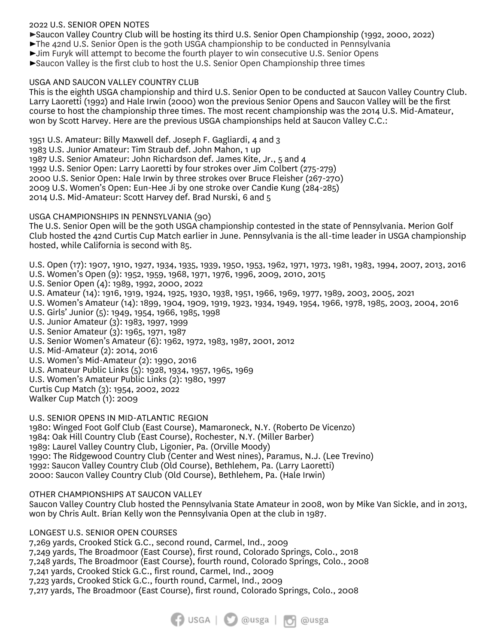# 2022 U.S. SENIOR OPEN NOTES

►Saucon Valley Country Club will be hosting its third U.S. Senior Open Championship (1992, 2000, 2022)

►The 42nd U.S. Senior Open is the 90th USGA championship to be conducted in Pennsylvania

►Jim Furyk will attempt to become the fourth player to win consecutive U.S. Senior Opens

►Saucon Valley is the first club to host the U.S. Senior Open Championship three times

# USGA AND SAUCON VALLEY COUNTRY CLUB

This is the eighth USGA championship and third U.S. Senior Open to be conducted at Saucon Valley Country Club. Larry Laoretti (1992) and Hale Irwin (2000) won the previous Senior Opens and Saucon Valley will be the first course to host the championship three times. The most recent championship was the 2014 U.S. Mid-Amateur, won by Scott Harvey. Here are the previous USGA championships held at Saucon Valley C.C.:

1951 U.S. Amateur: Billy Maxwell def. Joseph F. Gagliardi, 4 and 3 1983 U.S. Junior Amateur: Tim Straub def. John Mahon, 1 up 1987 U.S. Senior Amateur: John Richardson def. James Kite, Jr., 5 and 4 1992 U.S. Senior Open: Larry Laoretti by four strokes over Jim Colbert (275-279) 2000 U.S. Senior Open: Hale Irwin by three strokes over Bruce Fleisher (267-270) 2009 U.S. Women's Open: Eun-Hee Ji by one stroke over Candie Kung (284-285) 2014 U.S. Mid-Amateur: Scott Harvey def. Brad Nurski, 6 and 5

# USGA CHAMPIONSHIPS IN PENNSYLVANIA (90)

The U.S. Senior Open will be the 90th USGA championship contested in the state of Pennsylvania. Merion Golf Club hosted the 42nd Curtis Cup Match earlier in June. Pennsylvania is the all-time leader in USGA championship hosted, while California is second with 85.

U.S. Open (17): 1907, 1910, 1927, 1934, 1935, 1939, 1950, 1953, 1962, 1971, 1973, 1981, 1983, 1994, 2007, 2013, 2016 U.S. Women's Open (9): 1952, 1959, 1968, 1971, 1976, 1996, 2009, 2010, 2015

- U.S. Senior Open (4): 1989, 1992, 2000, 2022
- U.S. Amateur (14): 1916, 1919, 1924, 1925, 1930, 1938, 1951, 1966, 1969, 1977, 1989, 2003, 2005, 2021
- U.S. Women's Amateur (14): 1899, 1904, 1909, 1919, 1923, 1934, 1949, 1954, 1966, 1978, 1985, 2003, 2004, 2016
- U.S. Girls' Junior (5): 1949, 1954, 1966, 1985, 1998
- U.S. Junior Amateur (3): 1983, 1997, 1999
- U.S. Senior Amateur (3): 1965, 1971, 1987
- U.S. Senior Women's Amateur (6): 1962, 1972, 1983, 1987, 2001, 2012
- U.S. Mid-Amateur (2): 2014, 2016
- U.S. Women's Mid-Amateur (2): 1990, 2016
- U.S. Amateur Public Links (5): 1928, 1934, 1957, 1965, 1969
- U.S. Women's Amateur Public Links (2): 1980, 1997
- Curtis Cup Match (3): 1954, 2002, 2022
- Walker Cup Match (1): 2009

U.S. SENIOR OPENS IN MID-ATLANTIC REGION

1980: Winged Foot Golf Club (East Course), Mamaroneck, N.Y. (Roberto De Vicenzo) 1984: Oak Hill Country Club (East Course), Rochester, N.Y. (Miller Barber) 1989: Laurel Valley Country Club, Ligonier, Pa. (Orville Moody) 1990: The Ridgewood Country Club (Center and West nines), Paramus, N.J. (Lee Trevino) 1992: Saucon Valley Country Club (Old Course), Bethlehem, Pa. (Larry Laoretti) 2000: Saucon Valley Country Club (Old Course), Bethlehem, Pa. (Hale Irwin)

# OTHER CHAMPIONSHIPS AT SAUCON VALLEY

Saucon Valley Country Club hosted the Pennsylvania State Amateur in 2008, won by Mike Van Sickle, and in 2013, won by Chris Ault. Brian Kelly won the Pennsylvania Open at the club in 1987.

LONGEST U.S. SENIOR OPEN COURSES

7,269 yards, Crooked Stick G.C., second round, Carmel, Ind., 2009 7,249 yards, The Broadmoor (East Course), first round, Colorado Springs, Colo., 2018 7,248 yards, The Broadmoor (East Course), fourth round, Colorado Springs, Colo., 2008 7,241 yards, Crooked Stick G.C., first round, Carmel, Ind., 2009 7,223 yards, Crooked Stick G.C., fourth round, Carmel, Ind., 2009 7,217 yards, The Broadmoor (East Course), first round, Colorado Springs, Colo., 2008

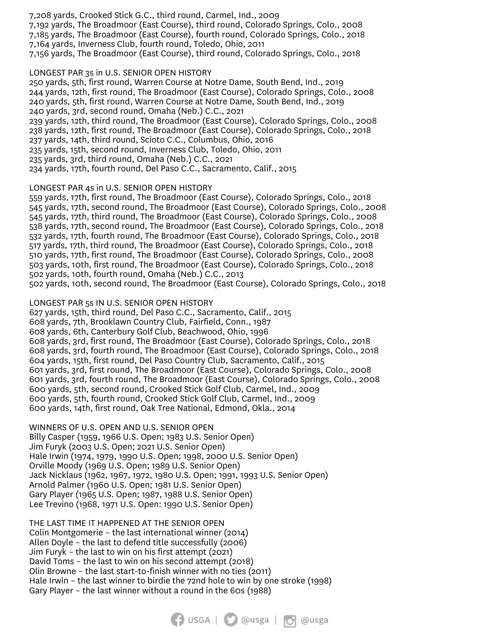7,208 yards, Crooked Stick G.C., third round, Carmel, Ind., 2009 7,192 yards, The Broadmoor (East Course), third round, Colorado Springs, Colo., 2008 7,185 yards, The Broadmoor (East Course), fourth round, Colorado Springs, Colo., 2018 7,164 yards, Inverness Club, fourth round, Toledo, Ohio, 2011 7,156 yards, The Broadmoor (East Course), third round, Colorado Springs, Colo., 2018

LONGEST PAR 3s in U.S. SENIOR OPEN HISTORY 250 yards, 5th, first round, Warren Course at Notre Dame, South Bend, Ind., 2019 244 yards, 12th, first round, The Broadmoor (East Course), Colorado Springs, Colo., 2008 240 yards, 5th, first round, Warren Course at Notre Dame, South Bend, Ind., 2019 240 yards, 3rd, second round, Omaha (Neb.) C.C., 2021 239 yards, 12th, third round, The Broadmoor (East Course), Colorado Springs, Colo., 2008 238 yards, 12th, first round, The Broadmoor (East Course), Colorado Springs, Colo., 2018 237 yards, 14th, third round, Scioto C.C., Columbus, Ohio, 2016 235 yards, 15th, second round, Inverness Club, Toledo, Ohio, 2011 235 yards, 3rd, third round, Omaha (Neb.) C.C., 2021 234 yards, 17th, fourth round, Del Paso C.C., Sacramento, Calif., 2015

LONGEST PAR 4s in U.S. SENIOR OPEN HISTORY

559 yards, 17th, first round, The Broadmoor (East Course), Colorado Springs, Colo., 2018 545 yards, 17th, second round, The Broadmoor (East Course), Colorado Springs, Colo., 2008 545 yards, 17th, third round, The Broadmoor (East Course), Colorado Springs, Colo., 2008 538 yards, 17th, second round, The Broadmoor (East Course), Colorado Springs, Colo., 2018 532 yards, 17th, fourth round, The Broadmoor (East Course), Colorado Springs, Colo., 2018 517 yards, 17th, third round, The Broadmoor (East Course), Colorado Springs, Colo., 2018 510 yards, 17th, first round, The Broadmoor (East Course), Colorado Springs, Colo., 2008 503 yards, 10th, first round, The Broadmoor (East Course), Colorado Springs, Colo., 2018 502 yards, 10th, fourth round, Omaha (Neb.) C.C., 2013 502 yards, 10th, second round, The Broadmoor (East Course), Colorado Springs, Colo., 2018

LONGEST PAR 5s IN U.S. SENIOR OPEN HISTORY

627 yards, 15th, third round, Del Paso C.C., Sacramento, Calif., 2015 608 yards, 7th, Brooklawn Country Club, Fairfield, Conn., 1987 608 yards, 6th, Canterbury Golf Club, Beachwood, Ohio, 1996 608 yards, 3rd, first round, The Broadmoor (East Course), Colorado Springs, Colo., 2018 608 yards, 3rd, fourth round, The Broadmoor (East Course), Colorado Springs, Colo., 2018 604 yards, 15th, first round, Del Paso Country Club, Sacramento, Calif., 2015 601 yards, 3rd, first round, The Broadmoor (East Course), Colorado Springs, Colo., 2008 601 yards, 3rd, fourth round, The Broadmoor (East Course), Colorado Springs, Colo., 2008 600 yards, 5th, second round, Crooked Stick Golf Club, Carmel, Ind., 2009 600 yards, 5th, fourth round, Crooked Stick Golf Club, Carmel, Ind., 2009 600 yards, 14th, first round, Oak Tree National, Edmond, Okla., 2014

WINNERS OF U.S. OPEN AND U.S. SENIOR OPEN Billy Casper (1959, 1966 U.S. Open; 1983 U.S. Senior Open) Jim Furyk (2003 U.S. Open; 2021 U.S. Senior Open) Hale Irwin (1974, 1979, 1990 U.S. Open; 1998, 2000 U.S. Senior Open) Orville Moody (1969 U.S. Open; 1989 U.S. Senior Open) Jack Nicklaus (1962, 1967, 1972, 1980 U.S. Open; 1991, 1993 U.S. Senior Open) Arnold Palmer (1960 U.S. Open; 1981 U.S. Senior Open) Gary Player (1965 U.S. Open; 1987, 1988 U.S. Senior Open) Lee Trevino (1968, 1971 U.S. Open: 1990 U.S. Senior Open)

THE LAST TIME IT HAPPENED AT THE SENIOR OPEN Colin Montgomerie – the last international winner (2014) Allen Doyle – the last to defend title successfully (2006) Jim Furyk – the last to win on his first attempt (2021) David Toms – the last to win on his second attempt (2018) Olin Browne – the last start-to-finish winner with no ties (2011) Hale Irwin – the last winner to birdie the 72nd hole to win by one stroke (1998) Gary Player – the last winner without a round in the 60s (1988)